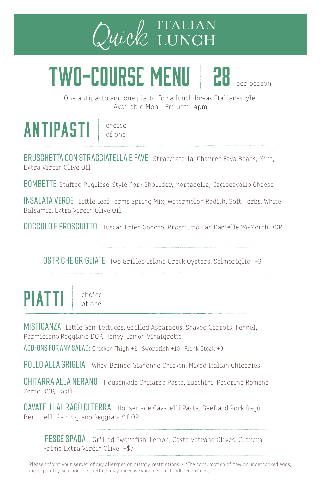

## TWO-COURSE MENU | 28 Der Derson

One antipasto and one piatto for a lunch break Italian-style! Available Mon - Fri until 4pm

## **ANTIPASTI** choice

of one

BRUSCHETTA CON STRACCIATELLA E FAVE Stracciatella, Charred Fava Beans, Mint, Extra Virgin Olive Oil

BOMBETTE Stuffed Pugliese-Style Pork Shoulder, Mortadella, Caciocavallo Cheese

Insalata Verde Little Leaf Farms Spring Mix, Watermelon Radish, Soft Herbs, White Balsamic, Extra Virgin Olive Oil

Coccolo e Prosciutto Tuscan Fried Gnocco, Prosciutto San Danielle 24-Month DOP

**OSTRICHE GRIGLIATE** Two Grilled Island Creek Oysters, Salmoriglio +3

 $PIATTI$   $\frac{choice}{of}$ 

MISTICANZA Little Gem Lettuces, Grilled Asparagus, Shaved Carrots, Fennel, Parmigiano Reggiano DOP, Honey-Lemon Vinaigrette

add-ons for any salad: Chicken Thigh +8 | Swordfish +10 | Flank Steak +9

POLLO ALLA GRIGLIA Whey-Brined Gianonne Chicken, Mixed Italian Chicories

CHITARRA ALLA NERANO Housemade Chitarra Pasta, Zucchini, Pecorino Romano Zerto DOP, Basil

CAVATELLI AL RAGÙ DI TERRA Housemade Cavatelli Pasta, Beef and Pork Ragù, Bertinelli Parmigiano Reggiano® DOP

PESCE SPADA Grilled Swordfish, Lemon, Castelvetrano Olives, Cutrera Primo Extra Virgin Olive +\$7

Please inform your server of any allergies or dietary restrictions. / \*The consumption of raw or undercooked eggs, meat, poultry, seafood or shellfish may increase your risk of foodborne illness.